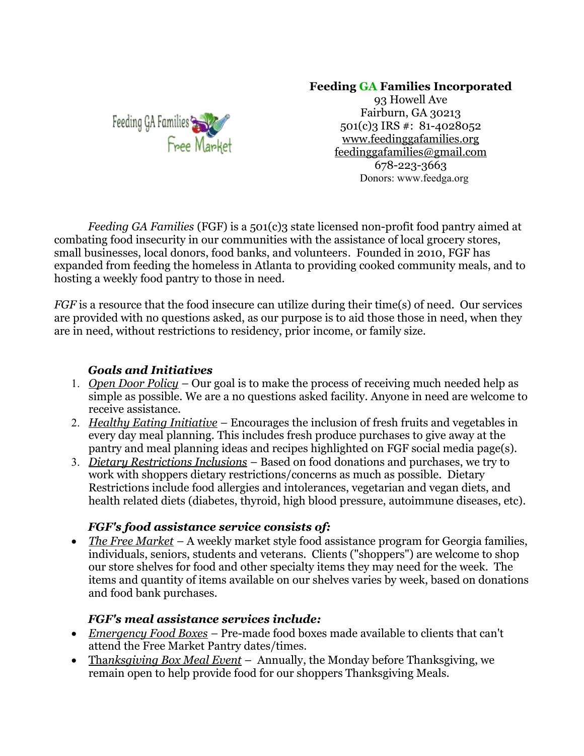## **Feeding GA Families Incorporated**



93 Howell Ave Fairburn, GA 30213 501(c)3 IRS #: 81-4028052 www.feedinggafamilies.org feedinggafamilies@gmail.com 678-223-3663 Donors: www.feedga.org

*Feeding GA Families* (FGF) is a 501(c)3 state licensed non-profit food pantry aimed at combating food insecurity in our communities with the assistance of local grocery stores, small businesses, local donors, food banks, and volunteers. Founded in 2010, FGF has expanded from feeding the homeless in Atlanta to providing cooked community meals, and to hosting a weekly food pantry to those in need.

*FGF* is a resource that the food insecure can utilize during their time(s) of need. Our services are provided with no questions asked, as our purpose is to aid those those in need, when they are in need, without restrictions to residency, prior income, or family size.

## *Goals and Initiatives*

- 1. *Open Door Policy –* Our goal is to make the process of receiving much needed help as simple as possible. We are a no questions asked facility. Anyone in need are welcome to receive assistance.
- 2. *Healthy Eating Initiative –* Encourages the inclusion of fresh fruits and vegetables in every day meal planning. This includes fresh produce purchases to give away at the pantry and meal planning ideas and recipes highlighted on FGF social media page(s).
- 3. *Dietary Restrictions Inclusions –* Based on food donations and purchases, we try to work with shoppers dietary restrictions/concerns as much as possible. Dietary Restrictions include food allergies and intolerances, vegetarian and vegan diets, and health related diets (diabetes, thyroid, high blood pressure, autoimmune diseases, etc).

#### *FGF's food assistance service consists of:*

• The Free Market – A weekly market style food assistance program for Georgia families, individuals, seniors, students and veterans. Clients ("shoppers") are welcome to shop our store shelves for food and other specialty items they may need for the week. The items and quantity of items available on our shelves varies by week, based on donations and food bank purchases.

## *FGF's meal assistance services include:*

- *Emergency Food Boxes –* Pre-made food boxes made available to clients that can't attend the Free Market Pantry dates/times.
- Tha*nksgiving Box Meal Event* Annually, the Monday before Thanksgiving, we remain open to help provide food for our shoppers Thanksgiving Meals.